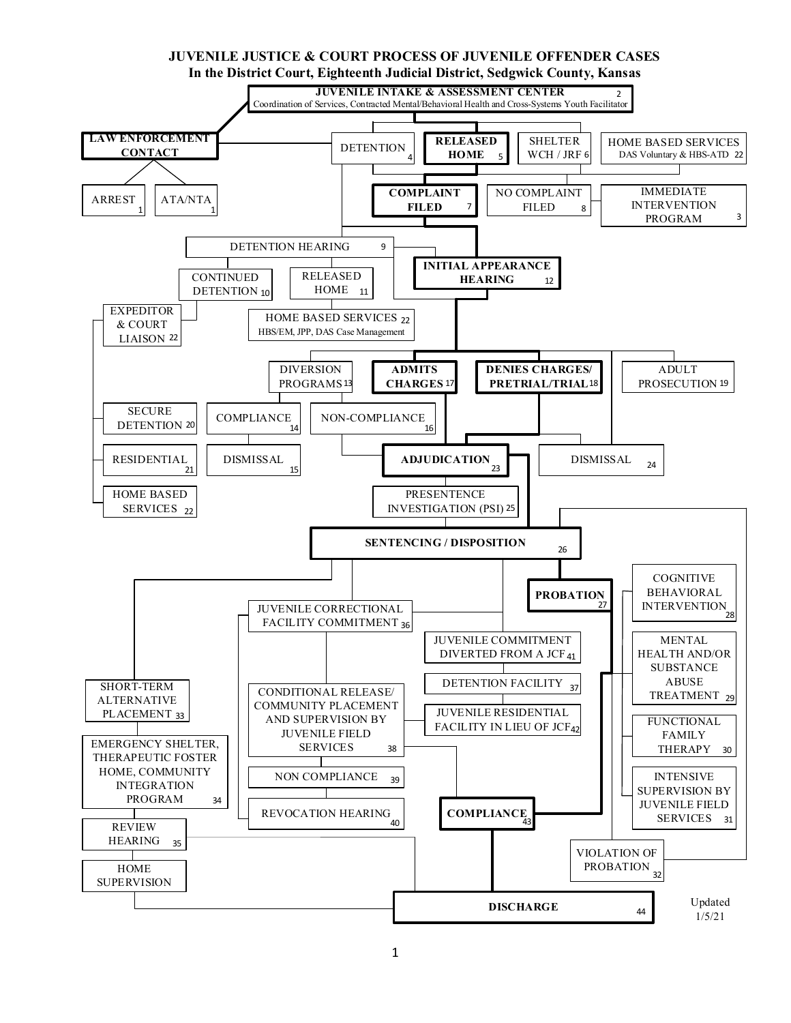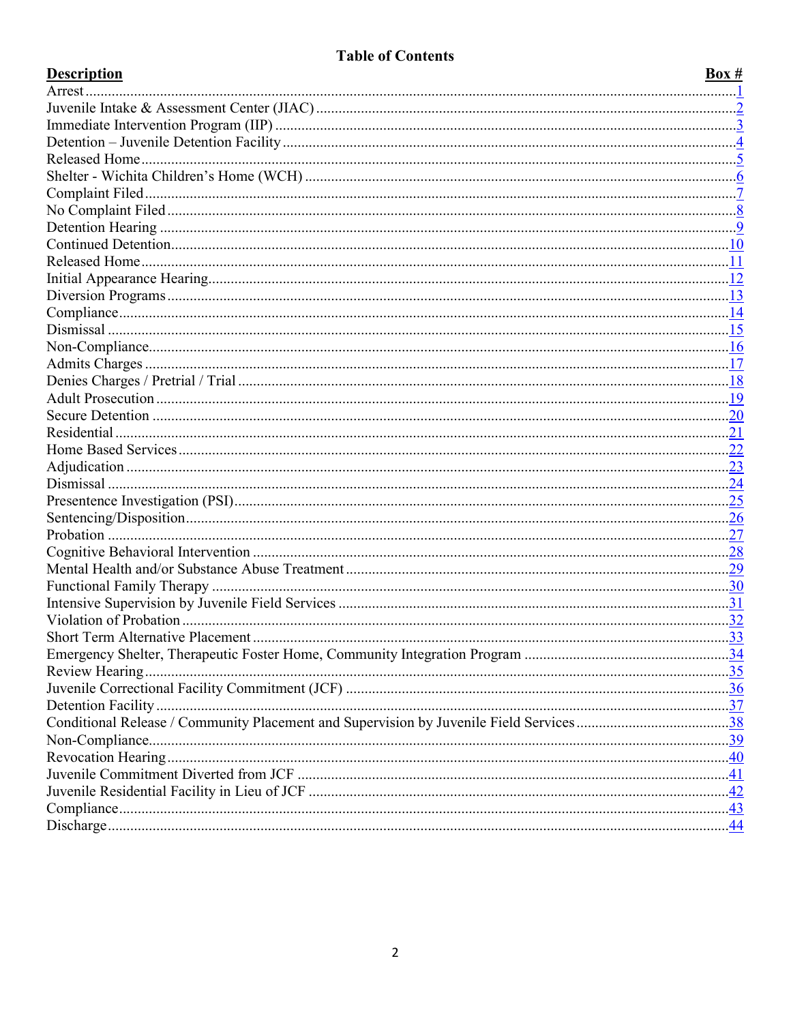# **Table of Contents**

| <b>Description</b> | Box # |
|--------------------|-------|
|                    |       |
|                    |       |
|                    |       |
|                    |       |
|                    |       |
|                    |       |
|                    |       |
|                    |       |
|                    |       |
|                    |       |
|                    |       |
|                    |       |
|                    |       |
|                    |       |
|                    |       |
|                    |       |
|                    |       |
|                    |       |
|                    |       |
|                    |       |
|                    |       |
|                    |       |
|                    |       |
|                    |       |
|                    |       |
|                    |       |
|                    |       |
|                    |       |
|                    |       |
|                    |       |
|                    |       |
|                    |       |
|                    |       |
|                    |       |
|                    |       |
|                    |       |
|                    |       |
|                    |       |
|                    |       |
|                    |       |
|                    |       |
|                    |       |
|                    |       |
|                    |       |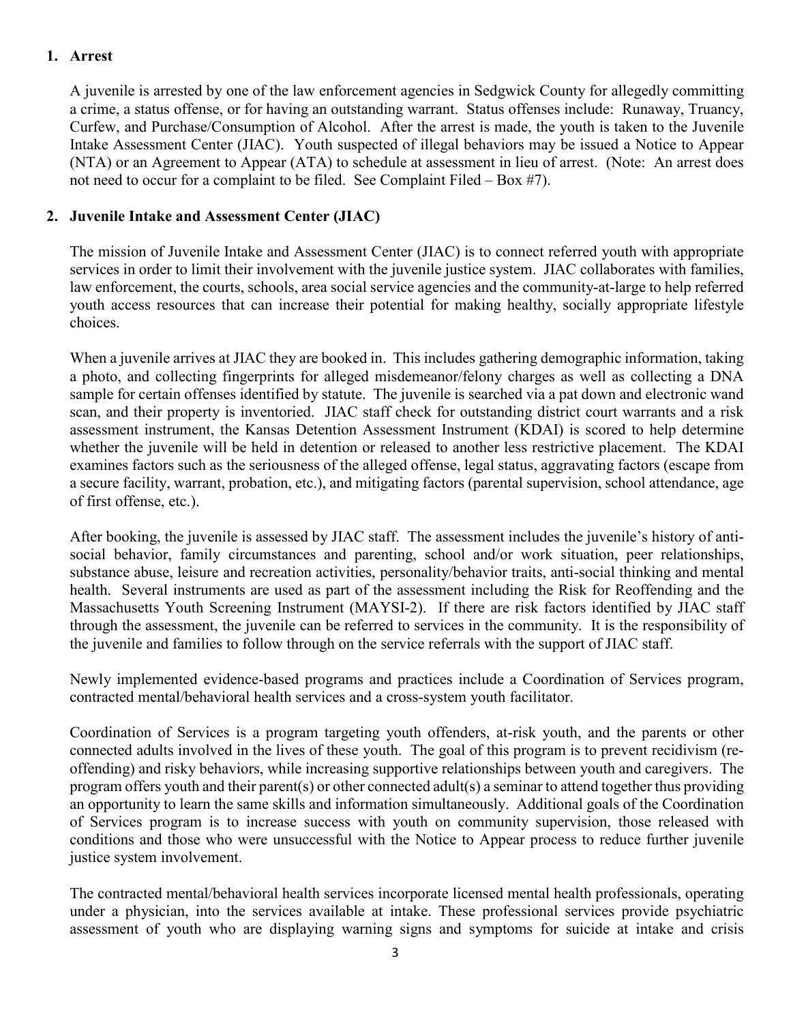# <span id="page-2-0"></span>**1. Arrest**

A juvenile is arrested by one of the law enforcement agencies in Sedgwick County for allegedly committing a crime, a status offense, or for having an outstanding warrant. Status offenses include: Runaway, Truancy, Curfew, and Purchase/Consumption of Alcohol. After the arrest is made, the youth is taken to the Juvenile Intake Assessment Center (JIAC). Youth suspected of illegal behaviors may be issued a Notice to Appear (NTA) or an Agreement to Appear (ATA) to schedule at assessment in lieu of arrest. (Note: An arrest does not need to occur for a complaint to be filed. See Complaint Filed – Box #7).

# <span id="page-2-1"></span>**2. Juvenile Intake and Assessment Center (JIAC)**

The mission of Juvenile Intake and Assessment Center (JIAC) is to connect referred youth with appropriate services in order to limit their involvement with the juvenile justice system. JIAC collaborates with families, law enforcement, the courts, schools, area social service agencies and the community-at-large to help referred youth access resources that can increase their potential for making healthy, socially appropriate lifestyle choices.

When a juvenile arrives at JIAC they are booked in. This includes gathering demographic information, taking a photo, and collecting fingerprints for alleged misdemeanor/felony charges as well as collecting a DNA sample for certain offenses identified by statute. The juvenile is searched via a pat down and electronic wand scan, and their property is inventoried. JIAC staff check for outstanding district court warrants and a risk assessment instrument, the Kansas Detention Assessment Instrument (KDAI) is scored to help determine whether the juvenile will be held in detention or released to another less restrictive placement. The KDAI examines factors such as the seriousness of the alleged offense, legal status, aggravating factors (escape from a secure facility, warrant, probation, etc.), and mitigating factors (parental supervision, school attendance, age of first offense, etc.).

After booking, the juvenile is assessed by JIAC staff. The assessment includes the juvenile's history of antisocial behavior, family circumstances and parenting, school and/or work situation, peer relationships, substance abuse, leisure and recreation activities, personality/behavior traits, anti-social thinking and mental health. Several instruments are used as part of the assessment including the Risk for Reoffending and the Massachusetts Youth Screening Instrument (MAYSI-2). If there are risk factors identified by JIAC staff through the assessment, the juvenile can be referred to services in the community. It is the responsibility of the juvenile and families to follow through on the service referrals with the support of JIAC staff.

Newly implemented evidence-based programs and practices include a Coordination of Services program, contracted mental/behavioral health services and a cross-system youth facilitator.

Coordination of Services is a program targeting youth offenders, at-risk youth, and the parents or other connected adults involved in the lives of these youth. The goal of this program is to prevent recidivism (reoffending) and risky behaviors, while increasing supportive relationships between youth and caregivers. The program offers youth and their parent(s) or other connected adult(s) a seminar to attend together thus providing an opportunity to learn the same skills and information simultaneously. Additional goals of the Coordination of Services program is to increase success with youth on community supervision, those released with conditions and those who were unsuccessful with the Notice to Appear process to reduce further juvenile justice system involvement.

The contracted mental/behavioral health services incorporate licensed mental health professionals, operating under a physician, into the services available at intake. These professional services provide psychiatric assessment of youth who are displaying warning signs and symptoms for suicide at intake and crisis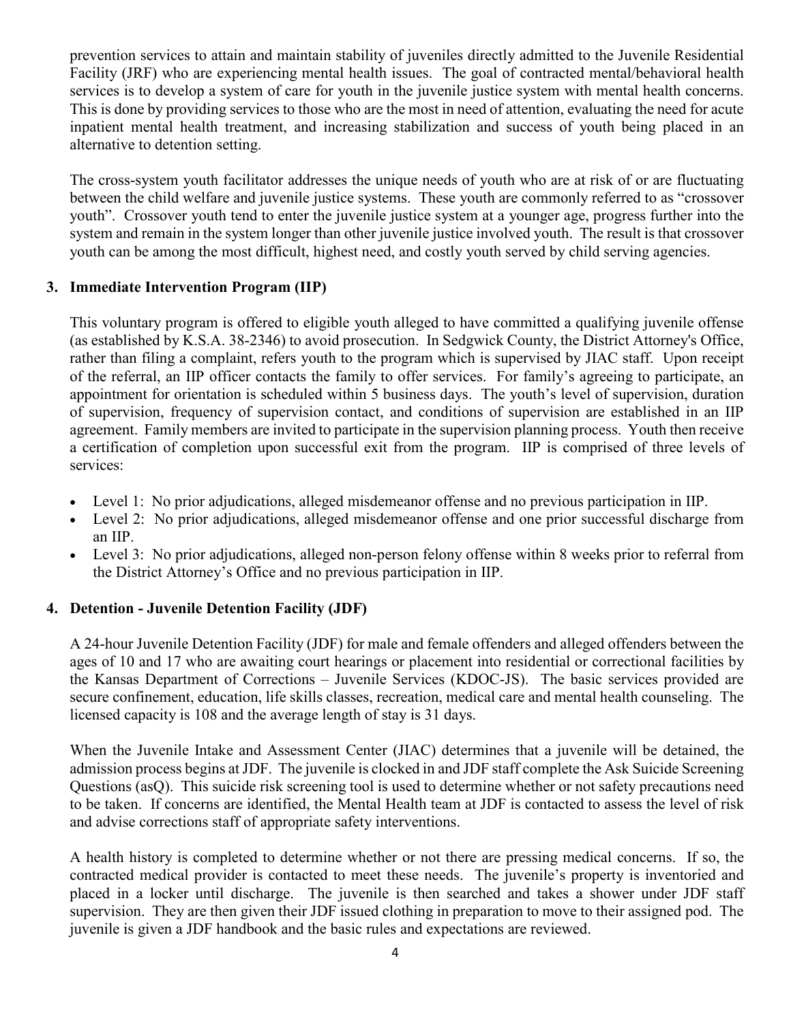prevention services to attain and maintain stability of juveniles directly admitted to the Juvenile Residential Facility (JRF) who are experiencing mental health issues. The goal of contracted mental/behavioral health services is to develop a system of care for youth in the juvenile justice system with mental health concerns. This is done by providing services to those who are the most in need of attention, evaluating the need for acute inpatient mental health treatment, and increasing stabilization and success of youth being placed in an alternative to detention setting.

The cross-system youth facilitator addresses the unique needs of youth who are at risk of or are fluctuating between the child welfare and juvenile justice systems. These youth are commonly referred to as "crossover youth". Crossover youth tend to enter the juvenile justice system at a younger age, progress further into the system and remain in the system longer than other juvenile justice involved youth. The result is that crossover youth can be among the most difficult, highest need, and costly youth served by child serving agencies.

## <span id="page-3-0"></span>**3. Immediate Intervention Program (IIP)**

This voluntary program is offered to eligible youth alleged to have committed a qualifying juvenile offense (as established by K.S.A. 38-2346) to avoid prosecution. In Sedgwick County, the District Attorney's Office, rather than filing a complaint, refers youth to the program which is supervised by JIAC staff. Upon receipt of the referral, an IIP officer contacts the family to offer services. For family's agreeing to participate, an appointment for orientation is scheduled within 5 business days. The youth's level of supervision, duration of supervision, frequency of supervision contact, and conditions of supervision are established in an IIP agreement. Family members are invited to participate in the supervision planning process. Youth then receive a certification of completion upon successful exit from the program. IIP is comprised of three levels of services:

- Level 1: No prior adjudications, alleged misdemeanor offense and no previous participation in IIP.
- Level 2: No prior adjudications, alleged misdemeanor offense and one prior successful discharge from an IIP.
- Level 3: No prior adjudications, alleged non-person felony offense within 8 weeks prior to referral from the District Attorney's Office and no previous participation in IIP.

# <span id="page-3-1"></span>**4. Detention - Juvenile Detention Facility (JDF)**

A 24-hour Juvenile Detention Facility (JDF) for male and female offenders and alleged offenders between the ages of 10 and 17 who are awaiting court hearings or placement into residential or correctional facilities by the Kansas Department of Corrections – Juvenile Services (KDOC-JS). The basic services provided are secure confinement, education, life skills classes, recreation, medical care and mental health counseling. The licensed capacity is 108 and the average length of stay is 31 days.

When the Juvenile Intake and Assessment Center (JIAC) determines that a juvenile will be detained, the admission process begins at JDF. The juvenile is clocked in and JDF staff complete the Ask Suicide Screening Questions (asQ). This suicide risk screening tool is used to determine whether or not safety precautions need to be taken. If concerns are identified, the Mental Health team at JDF is contacted to assess the level of risk and advise corrections staff of appropriate safety interventions.

A health history is completed to determine whether or not there are pressing medical concerns. If so, the contracted medical provider is contacted to meet these needs. The juvenile's property is inventoried and placed in a locker until discharge. The juvenile is then searched and takes a shower under JDF staff supervision. They are then given their JDF issued clothing in preparation to move to their assigned pod. The juvenile is given a JDF handbook and the basic rules and expectations are reviewed.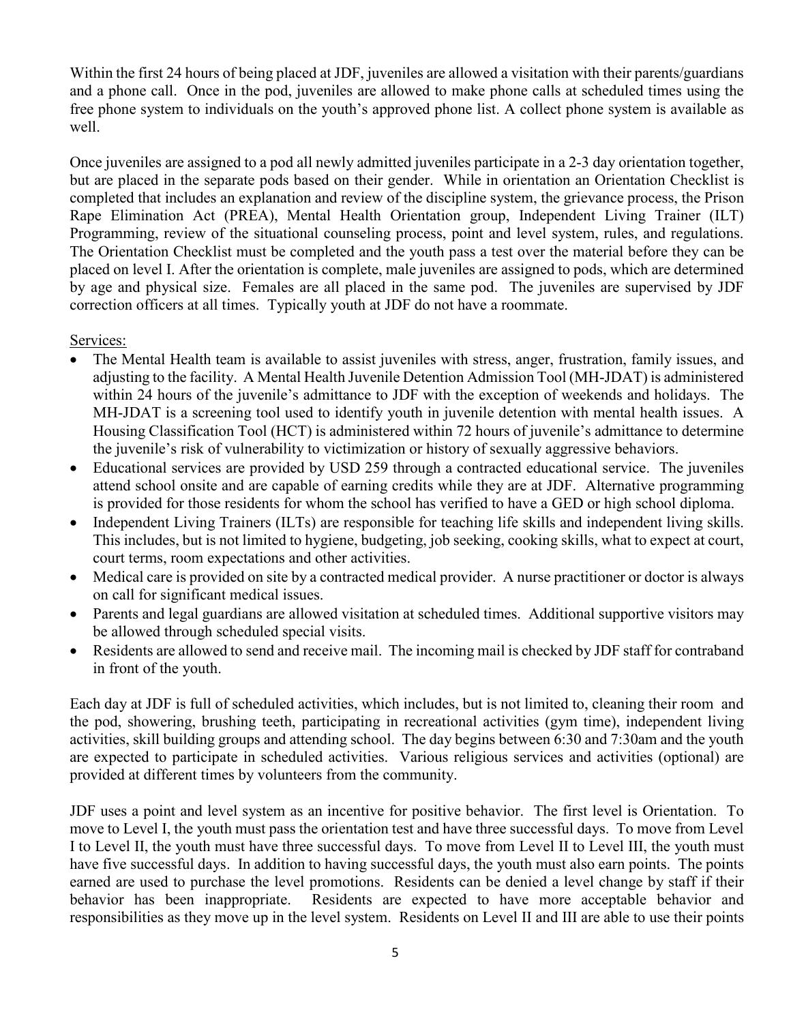Within the first 24 hours of being placed at JDF, juveniles are allowed a visitation with their parents/guardians and a phone call. Once in the pod, juveniles are allowed to make phone calls at scheduled times using the free phone system to individuals on the youth's approved phone list. A collect phone system is available as well.

Once juveniles are assigned to a pod all newly admitted juveniles participate in a 2-3 day orientation together, but are placed in the separate pods based on their gender. While in orientation an Orientation Checklist is completed that includes an explanation and review of the discipline system, the grievance process, the Prison Rape Elimination Act (PREA), Mental Health Orientation group, Independent Living Trainer (ILT) Programming, review of the situational counseling process, point and level system, rules, and regulations. The Orientation Checklist must be completed and the youth pass a test over the material before they can be placed on level I. After the orientation is complete, male juveniles are assigned to pods, which are determined by age and physical size. Females are all placed in the same pod. The juveniles are supervised by JDF correction officers at all times. Typically youth at JDF do not have a roommate.

Services:

- The Mental Health team is available to assist juveniles with stress, anger, frustration, family issues, and adjusting to the facility. A Mental Health Juvenile Detention Admission Tool (MH-JDAT) is administered within 24 hours of the juvenile's admittance to JDF with the exception of weekends and holidays. The MH-JDAT is a screening tool used to identify youth in juvenile detention with mental health issues. A Housing Classification Tool (HCT) is administered within 72 hours of juvenile's admittance to determine the juvenile's risk of vulnerability to victimization or history of sexually aggressive behaviors.
- Educational services are provided by USD 259 through a contracted educational service. The juveniles attend school onsite and are capable of earning credits while they are at JDF. Alternative programming is provided for those residents for whom the school has verified to have a GED or high school diploma.
- Independent Living Trainers (ILTs) are responsible for teaching life skills and independent living skills. This includes, but is not limited to hygiene, budgeting, job seeking, cooking skills, what to expect at court, court terms, room expectations and other activities.
- Medical care is provided on site by a contracted medical provider. A nurse practitioner or doctor is always on call for significant medical issues.
- Parents and legal guardians are allowed visitation at scheduled times. Additional supportive visitors may be allowed through scheduled special visits.
- Residents are allowed to send and receive mail. The incoming mail is checked by JDF staff for contraband in front of the youth.

Each day at JDF is full of scheduled activities, which includes, but is not limited to, cleaning their room and the pod, showering, brushing teeth, participating in recreational activities (gym time), independent living activities, skill building groups and attending school. The day begins between 6:30 and 7:30am and the youth are expected to participate in scheduled activities. Various religious services and activities (optional) are provided at different times by volunteers from the community.

JDF uses a point and level system as an incentive for positive behavior. The first level is Orientation. To move to Level I, the youth must pass the orientation test and have three successful days. To move from Level I to Level II, the youth must have three successful days. To move from Level II to Level III, the youth must have five successful days. In addition to having successful days, the youth must also earn points. The points earned are used to purchase the level promotions. Residents can be denied a level change by staff if their behavior has been inappropriate. Residents are expected to have more acceptable behavior and responsibilities as they move up in the level system. Residents on Level II and III are able to use their points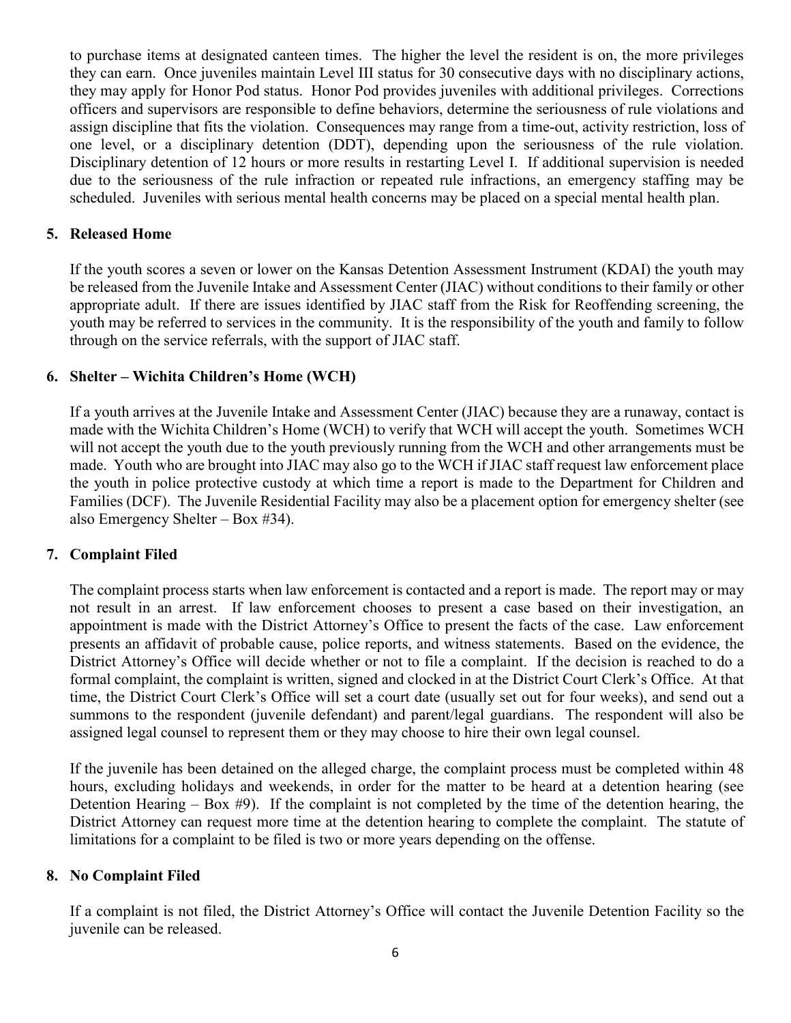to purchase items at designated canteen times. The higher the level the resident is on, the more privileges they can earn. Once juveniles maintain Level III status for 30 consecutive days with no disciplinary actions, they may apply for Honor Pod status. Honor Pod provides juveniles with additional privileges. Corrections officers and supervisors are responsible to define behaviors, determine the seriousness of rule violations and assign discipline that fits the violation. Consequences may range from a time-out, activity restriction, loss of one level, or a disciplinary detention (DDT), depending upon the seriousness of the rule violation. Disciplinary detention of 12 hours or more results in restarting Level I. If additional supervision is needed due to the seriousness of the rule infraction or repeated rule infractions, an emergency staffing may be scheduled. Juveniles with serious mental health concerns may be placed on a special mental health plan.

# <span id="page-5-0"></span>**5. Released Home**

If the youth scores a seven or lower on the Kansas Detention Assessment Instrument (KDAI) the youth may be released from the Juvenile Intake and Assessment Center (JIAC) without conditions to their family or other appropriate adult. If there are issues identified by JIAC staff from the Risk for Reoffending screening, the youth may be referred to services in the community. It is the responsibility of the youth and family to follow through on the service referrals, with the support of JIAC staff.

# <span id="page-5-1"></span>**6. Shelter – Wichita Children's Home (WCH)**

If a youth arrives at the Juvenile Intake and Assessment Center (JIAC) because they are a runaway, contact is made with the Wichita Children's Home (WCH) to verify that WCH will accept the youth. Sometimes WCH will not accept the youth due to the youth previously running from the WCH and other arrangements must be made. Youth who are brought into JIAC may also go to the WCH if JIAC staff request law enforcement place the youth in police protective custody at which time a report is made to the Department for Children and Families (DCF). The Juvenile Residential Facility may also be a placement option for emergency shelter (see also Emergency Shelter – Box #34).

# <span id="page-5-2"></span>**7. Complaint Filed**

The complaint process starts when law enforcement is contacted and a report is made. The report may or may not result in an arrest. If law enforcement chooses to present a case based on their investigation, an appointment is made with the District Attorney's Office to present the facts of the case. Law enforcement presents an affidavit of probable cause, police reports, and witness statements. Based on the evidence, the District Attorney's Office will decide whether or not to file a complaint. If the decision is reached to do a formal complaint, the complaint is written, signed and clocked in at the District Court Clerk's Office. At that time, the District Court Clerk's Office will set a court date (usually set out for four weeks), and send out a summons to the respondent (juvenile defendant) and parent/legal guardians. The respondent will also be assigned legal counsel to represent them or they may choose to hire their own legal counsel.

If the juvenile has been detained on the alleged charge, the complaint process must be completed within 48 hours, excluding holidays and weekends, in order for the matter to be heard at a detention hearing (see Detention Hearing – Box  $#9$ ). If the complaint is not completed by the time of the detention hearing, the District Attorney can request more time at the detention hearing to complete the complaint. The statute of limitations for a complaint to be filed is two or more years depending on the offense.

# <span id="page-5-3"></span>**8. No Complaint Filed**

If a complaint is not filed, the District Attorney's Office will contact the Juvenile Detention Facility so the juvenile can be released.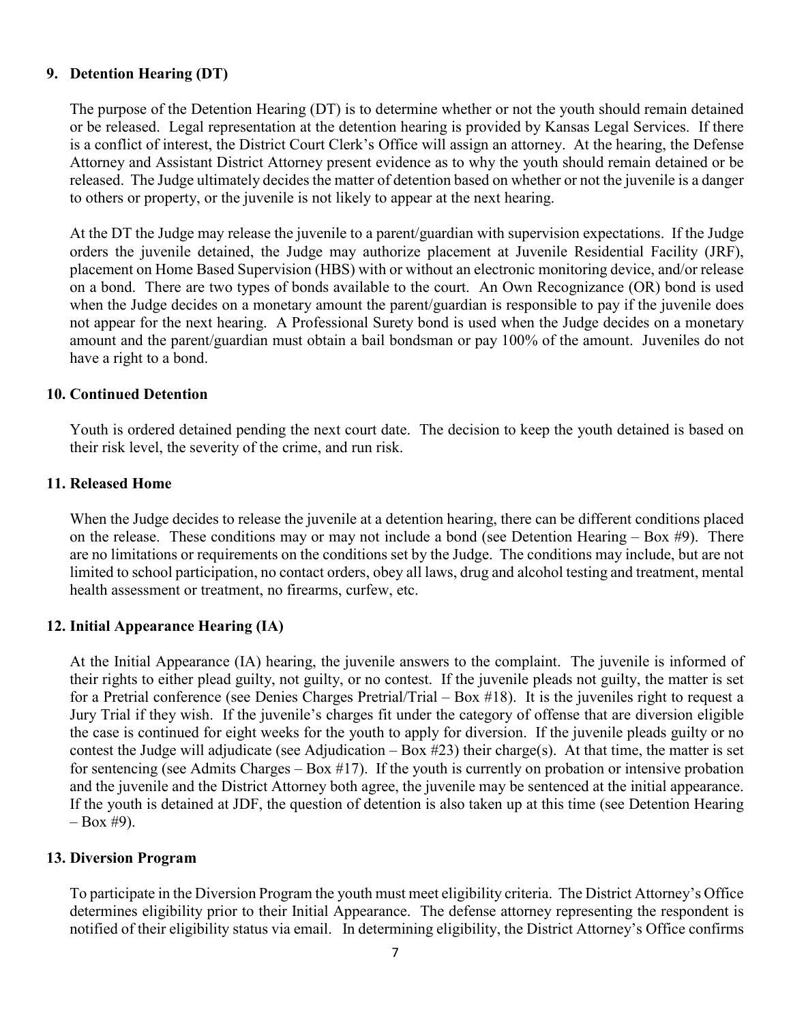## <span id="page-6-0"></span>**9. Detention Hearing (DT)**

The purpose of the Detention Hearing (DT) is to determine whether or not the youth should remain detained or be released. Legal representation at the detention hearing is provided by Kansas Legal Services. If there is a conflict of interest, the District Court Clerk's Office will assign an attorney. At the hearing, the Defense Attorney and Assistant District Attorney present evidence as to why the youth should remain detained or be released. The Judge ultimately decides the matter of detention based on whether or not the juvenile is a danger to others or property, or the juvenile is not likely to appear at the next hearing.

At the DT the Judge may release the juvenile to a parent/guardian with supervision expectations. If the Judge orders the juvenile detained, the Judge may authorize placement at Juvenile Residential Facility (JRF), placement on Home Based Supervision (HBS) with or without an electronic monitoring device, and/or release on a bond. There are two types of bonds available to the court. An Own Recognizance (OR) bond is used when the Judge decides on a monetary amount the parent/guardian is responsible to pay if the juvenile does not appear for the next hearing. A Professional Surety bond is used when the Judge decides on a monetary amount and the parent/guardian must obtain a bail bondsman or pay 100% of the amount. Juveniles do not have a right to a bond.

### <span id="page-6-1"></span>**10. Continued Detention**

Youth is ordered detained pending the next court date. The decision to keep the youth detained is based on their risk level, the severity of the crime, and run risk.

#### <span id="page-6-2"></span>**11. Released Home**

When the Judge decides to release the juvenile at a detention hearing, there can be different conditions placed on the release. These conditions may or may not include a bond (see Detention Hearing  $-$  Box #9). There are no limitations or requirements on the conditions set by the Judge. The conditions may include, but are not limited to school participation, no contact orders, obey all laws, drug and alcohol testing and treatment, mental health assessment or treatment, no firearms, curfew, etc.

### <span id="page-6-3"></span>**12. Initial Appearance Hearing (IA)**

At the Initial Appearance (IA) hearing, the juvenile answers to the complaint. The juvenile is informed of their rights to either plead guilty, not guilty, or no contest. If the juvenile pleads not guilty, the matter is set for a Pretrial conference (see Denies Charges Pretrial/Trial – Box #18). It is the juveniles right to request a Jury Trial if they wish. If the juvenile's charges fit under the category of offense that are diversion eligible the case is continued for eight weeks for the youth to apply for diversion. If the juvenile pleads guilty or no contest the Judge will adjudicate (see Adjudication – Box #23) their charge(s). At that time, the matter is set for sentencing (see Admits Charges – Box #17). If the youth is currently on probation or intensive probation and the juvenile and the District Attorney both agree, the juvenile may be sentenced at the initial appearance. If the youth is detained at JDF, the question of detention is also taken up at this time (see Detention Hearing  $-$  Box #9).

### <span id="page-6-4"></span>**13. Diversion Program**

To participate in the Diversion Program the youth must meet eligibility criteria. The District Attorney's Office determines eligibility prior to their Initial Appearance. The defense attorney representing the respondent is notified of their eligibility status via email. In determining eligibility, the District Attorney's Office confirms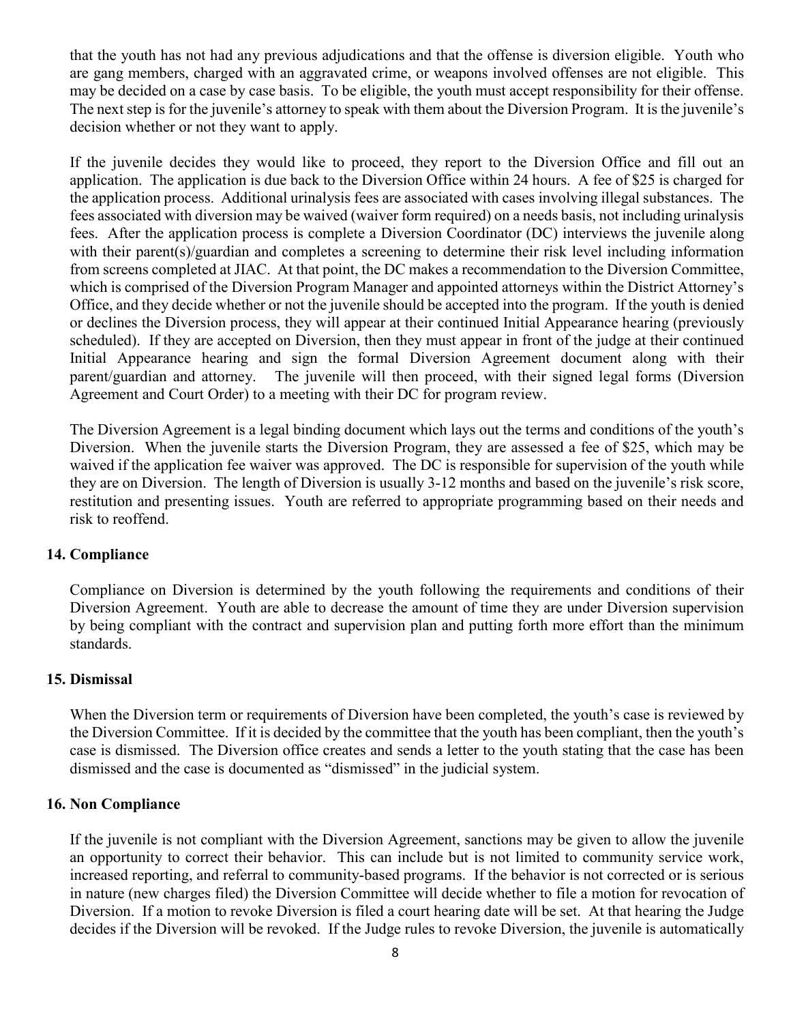that the youth has not had any previous adjudications and that the offense is diversion eligible. Youth who are gang members, charged with an aggravated crime, or weapons involved offenses are not eligible. This may be decided on a case by case basis. To be eligible, the youth must accept responsibility for their offense. The next step is for the juvenile's attorney to speak with them about the Diversion Program. It is the juvenile's decision whether or not they want to apply.

If the juvenile decides they would like to proceed, they report to the Diversion Office and fill out an application. The application is due back to the Diversion Office within 24 hours. A fee of \$25 is charged for the application process. Additional urinalysis fees are associated with cases involving illegal substances. The fees associated with diversion may be waived (waiver form required) on a needs basis, not including urinalysis fees. After the application process is complete a Diversion Coordinator (DC) interviews the juvenile along with their parent(s)/guardian and completes a screening to determine their risk level including information from screens completed at JIAC. At that point, the DC makes a recommendation to the Diversion Committee, which is comprised of the Diversion Program Manager and appointed attorneys within the District Attorney's Office, and they decide whether or not the juvenile should be accepted into the program. If the youth is denied or declines the Diversion process, they will appear at their continued Initial Appearance hearing (previously scheduled). If they are accepted on Diversion, then they must appear in front of the judge at their continued Initial Appearance hearing and sign the formal Diversion Agreement document along with their parent/guardian and attorney. The juvenile will then proceed, with their signed legal forms (Diversion Agreement and Court Order) to a meeting with their DC for program review.

The Diversion Agreement is a legal binding document which lays out the terms and conditions of the youth's Diversion. When the juvenile starts the Diversion Program, they are assessed a fee of \$25, which may be waived if the application fee waiver was approved. The DC is responsible for supervision of the youth while they are on Diversion. The length of Diversion is usually 3-12 months and based on the juvenile's risk score, restitution and presenting issues. Youth are referred to appropriate programming based on their needs and risk to reoffend.

# <span id="page-7-0"></span>**14. Compliance**

Compliance on Diversion is determined by the youth following the requirements and conditions of their Diversion Agreement. Youth are able to decrease the amount of time they are under Diversion supervision by being compliant with the contract and supervision plan and putting forth more effort than the minimum standards.

### <span id="page-7-1"></span>**15. Dismissal**

When the Diversion term or requirements of Diversion have been completed, the youth's case is reviewed by the Diversion Committee. If it is decided by the committee that the youth has been compliant, then the youth's case is dismissed. The Diversion office creates and sends a letter to the youth stating that the case has been dismissed and the case is documented as "dismissed" in the judicial system.

### <span id="page-7-2"></span>**16. Non Compliance**

If the juvenile is not compliant with the Diversion Agreement, sanctions may be given to allow the juvenile an opportunity to correct their behavior. This can include but is not limited to community service work, increased reporting, and referral to community-based programs. If the behavior is not corrected or is serious in nature (new charges filed) the Diversion Committee will decide whether to file a motion for revocation of Diversion. If a motion to revoke Diversion is filed a court hearing date will be set. At that hearing the Judge decides if the Diversion will be revoked. If the Judge rules to revoke Diversion, the juvenile is automatically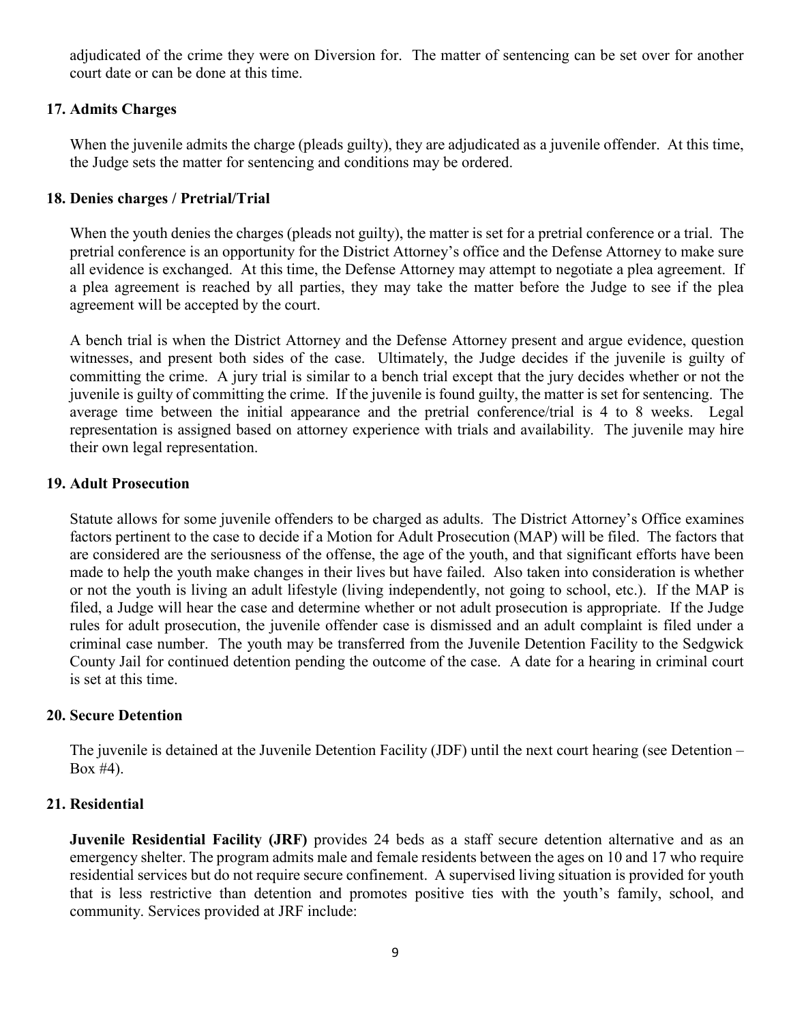adjudicated of the crime they were on Diversion for. The matter of sentencing can be set over for another court date or can be done at this time.

## <span id="page-8-0"></span>**17. Admits Charges**

When the juvenile admits the charge (pleads guilty), they are adjudicated as a juvenile offender. At this time, the Judge sets the matter for sentencing and conditions may be ordered.

## <span id="page-8-1"></span>**18. Denies charges / Pretrial/Trial**

When the youth denies the charges (pleads not guilty), the matter is set for a pretrial conference or a trial. The pretrial conference is an opportunity for the District Attorney's office and the Defense Attorney to make sure all evidence is exchanged. At this time, the Defense Attorney may attempt to negotiate a plea agreement. If a plea agreement is reached by all parties, they may take the matter before the Judge to see if the plea agreement will be accepted by the court.

A bench trial is when the District Attorney and the Defense Attorney present and argue evidence, question witnesses, and present both sides of the case. Ultimately, the Judge decides if the juvenile is guilty of committing the crime. A jury trial is similar to a bench trial except that the jury decides whether or not the juvenile is guilty of committing the crime. If the juvenile is found guilty, the matter is set for sentencing. The average time between the initial appearance and the pretrial conference/trial is 4 to 8 weeks. Legal representation is assigned based on attorney experience with trials and availability. The juvenile may hire their own legal representation.

## <span id="page-8-2"></span>**19. Adult Prosecution**

Statute allows for some juvenile offenders to be charged as adults. The District Attorney's Office examines factors pertinent to the case to decide if a Motion for Adult Prosecution (MAP) will be filed. The factors that are considered are the seriousness of the offense, the age of the youth, and that significant efforts have been made to help the youth make changes in their lives but have failed. Also taken into consideration is whether or not the youth is living an adult lifestyle (living independently, not going to school, etc.). If the MAP is filed, a Judge will hear the case and determine whether or not adult prosecution is appropriate. If the Judge rules for adult prosecution, the juvenile offender case is dismissed and an adult complaint is filed under a criminal case number. The youth may be transferred from the Juvenile Detention Facility to the Sedgwick County Jail for continued detention pending the outcome of the case. A date for a hearing in criminal court is set at this time.

### <span id="page-8-3"></span>**20. Secure Detention**

The juvenile is detained at the Juvenile Detention Facility (JDF) until the next court hearing (see Detention – Box #4).

# <span id="page-8-4"></span>**21. Residential**

**Juvenile Residential Facility (JRF)** provides 24 beds as a staff secure detention alternative and as an emergency shelter. The program admits male and female residents between the ages on 10 and 17 who require residential services but do not require secure confinement. A supervised living situation is provided for youth that is less restrictive than detention and promotes positive ties with the youth's family, school, and community. Services provided at JRF include: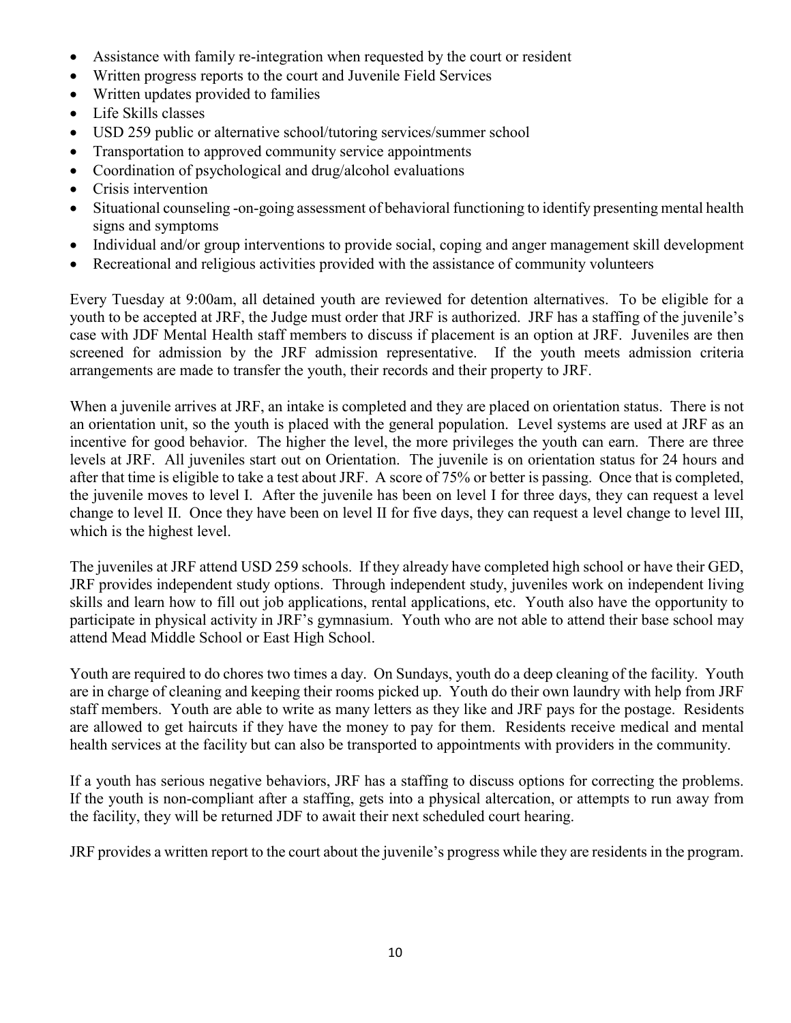- Assistance with family re-integration when requested by the court or resident
- Written progress reports to the court and Juvenile Field Services
- Written updates provided to families
- Life Skills classes
- USD 259 public or alternative school/tutoring services/summer school
- Transportation to approved community service appointments
- Coordination of psychological and drug/alcohol evaluations
- Crisis intervention
- Situational counseling -on-going assessment of behavioral functioning to identify presenting mental health signs and symptoms
- Individual and/or group interventions to provide social, coping and anger management skill development
- Recreational and religious activities provided with the assistance of community volunteers

Every Tuesday at 9:00am, all detained youth are reviewed for detention alternatives. To be eligible for a youth to be accepted at JRF, the Judge must order that JRF is authorized. JRF has a staffing of the juvenile's case with JDF Mental Health staff members to discuss if placement is an option at JRF. Juveniles are then screened for admission by the JRF admission representative. If the youth meets admission criteria arrangements are made to transfer the youth, their records and their property to JRF.

When a juvenile arrives at JRF, an intake is completed and they are placed on orientation status. There is not an orientation unit, so the youth is placed with the general population. Level systems are used at JRF as an incentive for good behavior. The higher the level, the more privileges the youth can earn. There are three levels at JRF. All juveniles start out on Orientation. The juvenile is on orientation status for 24 hours and after that time is eligible to take a test about JRF. A score of 75% or better is passing. Once that is completed, the juvenile moves to level I. After the juvenile has been on level I for three days, they can request a level change to level II. Once they have been on level II for five days, they can request a level change to level III, which is the highest level.

The juveniles at JRF attend USD 259 schools. If they already have completed high school or have their GED, JRF provides independent study options. Through independent study, juveniles work on independent living skills and learn how to fill out job applications, rental applications, etc. Youth also have the opportunity to participate in physical activity in JRF's gymnasium. Youth who are not able to attend their base school may attend Mead Middle School or East High School.

Youth are required to do chores two times a day. On Sundays, youth do a deep cleaning of the facility. Youth are in charge of cleaning and keeping their rooms picked up. Youth do their own laundry with help from JRF staff members. Youth are able to write as many letters as they like and JRF pays for the postage. Residents are allowed to get haircuts if they have the money to pay for them. Residents receive medical and mental health services at the facility but can also be transported to appointments with providers in the community.

If a youth has serious negative behaviors, JRF has a staffing to discuss options for correcting the problems. If the youth is non-compliant after a staffing, gets into a physical altercation, or attempts to run away from the facility, they will be returned JDF to await their next scheduled court hearing.

JRF provides a written report to the court about the juvenile's progress while they are residents in the program.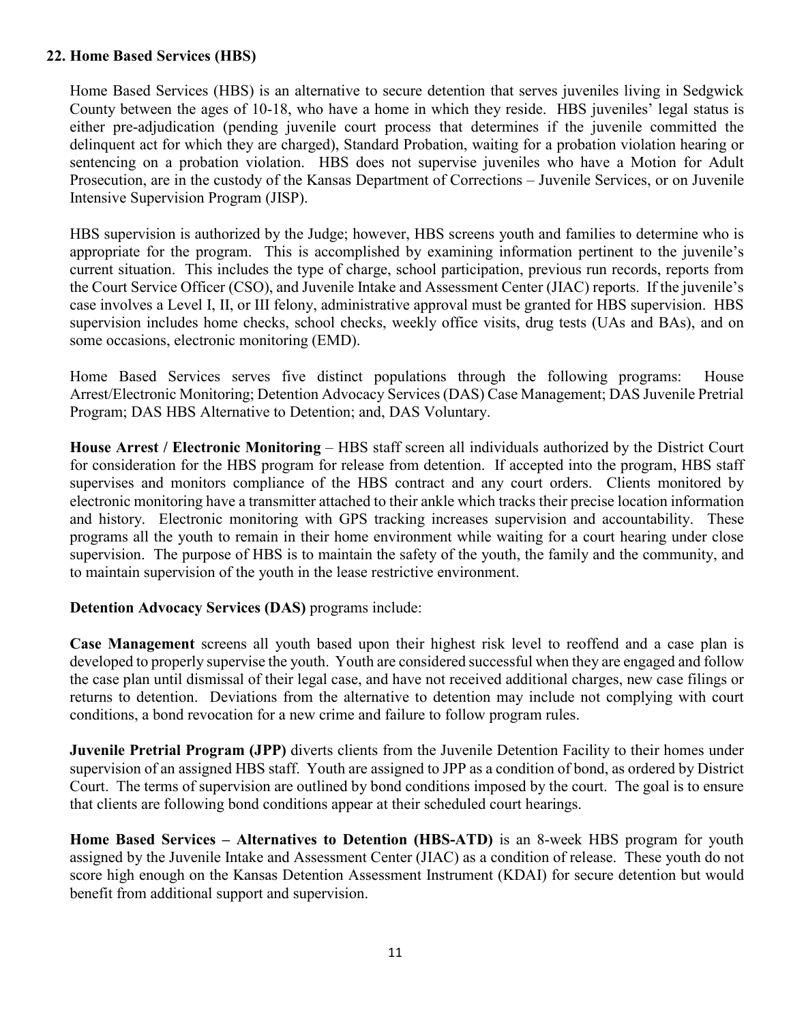# <span id="page-10-0"></span>**22. Home Based Services (HBS)**

Home Based Services (HBS) is an alternative to secure detention that serves juveniles living in Sedgwick County between the ages of 10-18, who have a home in which they reside. HBS juveniles' legal status is either pre-adjudication (pending juvenile court process that determines if the juvenile committed the delinquent act for which they are charged), Standard Probation, waiting for a probation violation hearing or sentencing on a probation violation. HBS does not supervise juveniles who have a Motion for Adult Prosecution, are in the custody of the Kansas Department of Corrections – Juvenile Services, or on Juvenile Intensive Supervision Program (JISP).

HBS supervision is authorized by the Judge; however, HBS screens youth and families to determine who is appropriate for the program. This is accomplished by examining information pertinent to the juvenile's current situation. This includes the type of charge, school participation, previous run records, reports from the Court Service Officer (CSO), and Juvenile Intake and Assessment Center (JIAC) reports. If the juvenile's case involves a Level I, II, or III felony, administrative approval must be granted for HBS supervision. HBS supervision includes home checks, school checks, weekly office visits, drug tests (UAs and BAs), and on some occasions, electronic monitoring (EMD).

Home Based Services serves five distinct populations through the following programs: House Arrest/Electronic Monitoring; Detention Advocacy Services (DAS) Case Management; DAS Juvenile Pretrial Program; DAS HBS Alternative to Detention; and, DAS Voluntary.

**House Arrest / Electronic Monitoring** – HBS staff screen all individuals authorized by the District Court for consideration for the HBS program for release from detention. If accepted into the program, HBS staff supervises and monitors compliance of the HBS contract and any court orders. Clients monitored by electronic monitoring have a transmitter attached to their ankle which tracks their precise location information and history. Electronic monitoring with GPS tracking increases supervision and accountability. These programs all the youth to remain in their home environment while waiting for a court hearing under close supervision. The purpose of HBS is to maintain the safety of the youth, the family and the community, and to maintain supervision of the youth in the lease restrictive environment.

# **Detention Advocacy Services (DAS)** programs include:

**Case Management** screens all youth based upon their highest risk level to reoffend and a case plan is developed to properly supervise the youth. Youth are considered successful when they are engaged and follow the case plan until dismissal of their legal case, and have not received additional charges, new case filings or returns to detention. Deviations from the alternative to detention may include not complying with court conditions, a bond revocation for a new crime and failure to follow program rules.

**Juvenile Pretrial Program (JPP)** diverts clients from the Juvenile Detention Facility to their homes under supervision of an assigned HBS staff. Youth are assigned to JPP as a condition of bond, as ordered by District Court. The terms of supervision are outlined by bond conditions imposed by the court. The goal is to ensure that clients are following bond conditions appear at their scheduled court hearings.

**Home Based Services – Alternatives to Detention (HBS-ATD)** is an 8-week HBS program for youth assigned by the Juvenile Intake and Assessment Center (JIAC) as a condition of release. These youth do not score high enough on the Kansas Detention Assessment Instrument (KDAI) for secure detention but would benefit from additional support and supervision.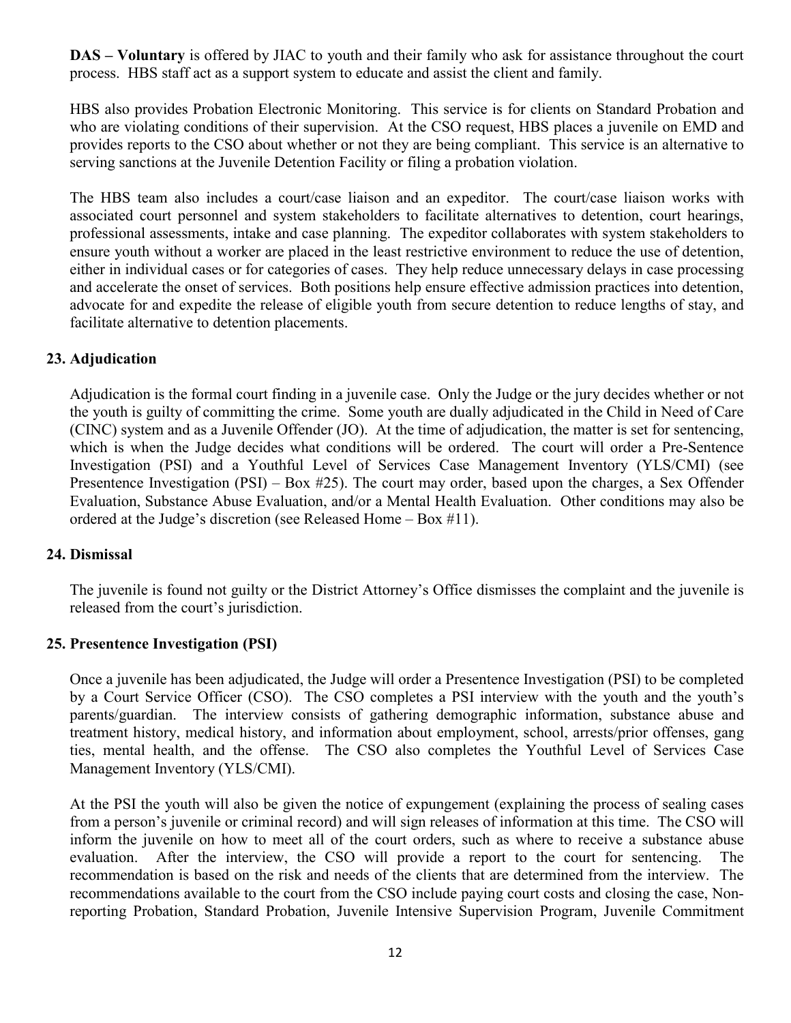**DAS – Voluntary** is offered by JIAC to youth and their family who ask for assistance throughout the court process. HBS staff act as a support system to educate and assist the client and family.

HBS also provides Probation Electronic Monitoring. This service is for clients on Standard Probation and who are violating conditions of their supervision. At the CSO request, HBS places a juvenile on EMD and provides reports to the CSO about whether or not they are being compliant. This service is an alternative to serving sanctions at the Juvenile Detention Facility or filing a probation violation.

The HBS team also includes a court/case liaison and an expeditor. The court/case liaison works with associated court personnel and system stakeholders to facilitate alternatives to detention, court hearings, professional assessments, intake and case planning. The expeditor collaborates with system stakeholders to ensure youth without a worker are placed in the least restrictive environment to reduce the use of detention, either in individual cases or for categories of cases. They help reduce unnecessary delays in case processing and accelerate the onset of services. Both positions help ensure effective admission practices into detention, advocate for and expedite the release of eligible youth from secure detention to reduce lengths of stay, and facilitate alternative to detention placements.

# <span id="page-11-0"></span>**23. Adjudication**

Adjudication is the formal court finding in a juvenile case. Only the Judge or the jury decides whether or not the youth is guilty of committing the crime. Some youth are dually adjudicated in the Child in Need of Care (CINC) system and as a Juvenile Offender (JO). At the time of adjudication, the matter is set for sentencing, which is when the Judge decides what conditions will be ordered. The court will order a Pre-Sentence Investigation (PSI) and a Youthful Level of Services Case Management Inventory (YLS/CMI) (see Presentence Investigation (PSI) – Box #25). The court may order, based upon the charges, a Sex Offender Evaluation, Substance Abuse Evaluation, and/or a Mental Health Evaluation. Other conditions may also be ordered at the Judge's discretion (see Released Home – Box #11).

# <span id="page-11-1"></span>**24. Dismissal**

The juvenile is found not guilty or the District Attorney's Office dismisses the complaint and the juvenile is released from the court's jurisdiction.

# <span id="page-11-2"></span>**25. Presentence Investigation (PSI)**

Once a juvenile has been adjudicated, the Judge will order a Presentence Investigation (PSI) to be completed by a Court Service Officer (CSO). The CSO completes a PSI interview with the youth and the youth's parents/guardian. The interview consists of gathering demographic information, substance abuse and treatment history, medical history, and information about employment, school, arrests/prior offenses, gang ties, mental health, and the offense. The CSO also completes the Youthful Level of Services Case Management Inventory (YLS/CMI).

At the PSI the youth will also be given the notice of expungement (explaining the process of sealing cases from a person's juvenile or criminal record) and will sign releases of information at this time. The CSO will inform the juvenile on how to meet all of the court orders, such as where to receive a substance abuse evaluation. After the interview, the CSO will provide a report to the court for sentencing. The recommendation is based on the risk and needs of the clients that are determined from the interview. The recommendations available to the court from the CSO include paying court costs and closing the case, Nonreporting Probation, Standard Probation, Juvenile Intensive Supervision Program, Juvenile Commitment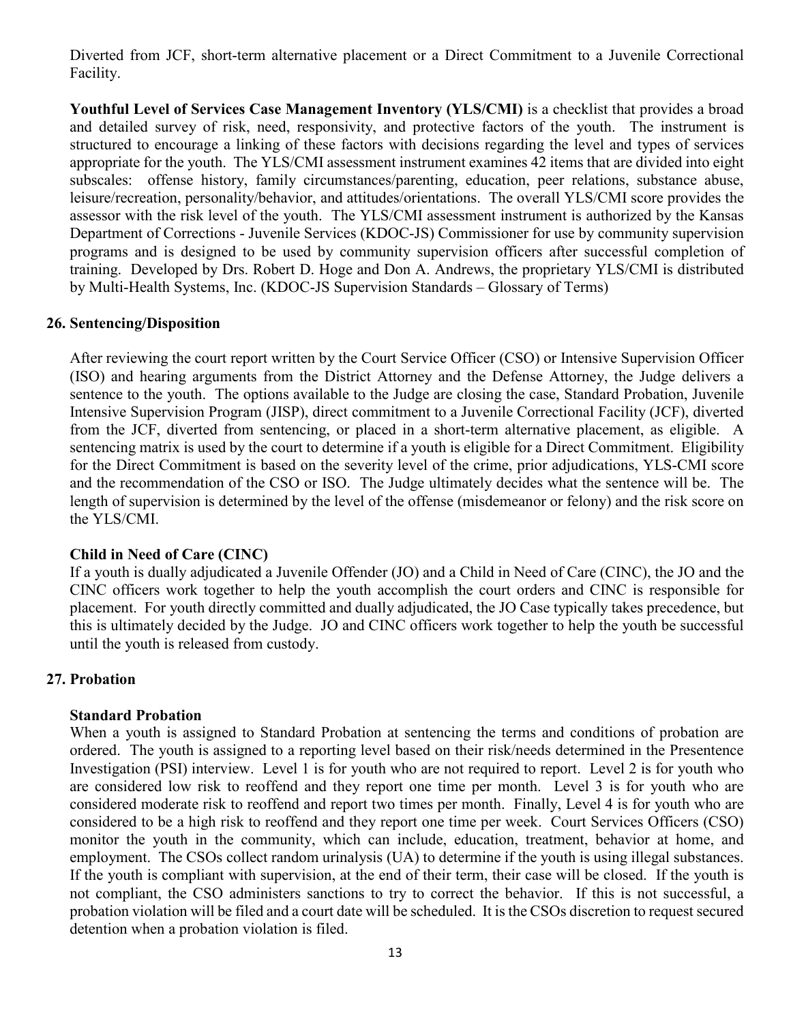Diverted from JCF, short-term alternative placement or a Direct Commitment to a Juvenile Correctional Facility.

**Youthful Level of Services Case Management Inventory (YLS/CMI)** is a checklist that provides a broad and detailed survey of risk, need, responsivity, and protective factors of the youth. The instrument is structured to encourage a linking of these factors with decisions regarding the level and types of services appropriate for the youth. The YLS/CMI assessment instrument examines 42 items that are divided into eight subscales: offense history, family circumstances/parenting, education, peer relations, substance abuse, leisure/recreation, personality/behavior, and attitudes/orientations. The overall YLS/CMI score provides the assessor with the risk level of the youth. The YLS/CMI assessment instrument is authorized by the Kansas Department of Corrections - Juvenile Services (KDOC-JS) Commissioner for use by community supervision programs and is designed to be used by community supervision officers after successful completion of training. Developed by Drs. Robert D. Hoge and Don A. Andrews, the proprietary YLS/CMI is distributed by Multi-Health Systems, Inc. (KDOC-JS Supervision Standards – Glossary of Terms)

## <span id="page-12-0"></span>**26. Sentencing/Disposition**

After reviewing the court report written by the Court Service Officer (CSO) or Intensive Supervision Officer (ISO) and hearing arguments from the District Attorney and the Defense Attorney, the Judge delivers a sentence to the youth. The options available to the Judge are closing the case, Standard Probation, Juvenile Intensive Supervision Program (JISP), direct commitment to a Juvenile Correctional Facility (JCF), diverted from the JCF, diverted from sentencing, or placed in a short-term alternative placement, as eligible. A sentencing matrix is used by the court to determine if a youth is eligible for a Direct Commitment. Eligibility for the Direct Commitment is based on the severity level of the crime, prior adjudications, YLS-CMI score and the recommendation of the CSO or ISO. The Judge ultimately decides what the sentence will be. The length of supervision is determined by the level of the offense (misdemeanor or felony) and the risk score on the YLS/CMI.

### **Child in Need of Care (CINC)**

If a youth is dually adjudicated a Juvenile Offender (JO) and a Child in Need of Care (CINC), the JO and the CINC officers work together to help the youth accomplish the court orders and CINC is responsible for placement. For youth directly committed and dually adjudicated, the JO Case typically takes precedence, but this is ultimately decided by the Judge. JO and CINC officers work together to help the youth be successful until the youth is released from custody.

### <span id="page-12-1"></span>**27. Probation**

### **Standard Probation**

When a youth is assigned to Standard Probation at sentencing the terms and conditions of probation are ordered. The youth is assigned to a reporting level based on their risk/needs determined in the Presentence Investigation (PSI) interview. Level 1 is for youth who are not required to report. Level 2 is for youth who are considered low risk to reoffend and they report one time per month. Level 3 is for youth who are considered moderate risk to reoffend and report two times per month. Finally, Level 4 is for youth who are considered to be a high risk to reoffend and they report one time per week. Court Services Officers (CSO) monitor the youth in the community, which can include, education, treatment, behavior at home, and employment. The CSOs collect random urinalysis (UA) to determine if the youth is using illegal substances. If the youth is compliant with supervision, at the end of their term, their case will be closed. If the youth is not compliant, the CSO administers sanctions to try to correct the behavior. If this is not successful, a probation violation will be filed and a court date will be scheduled. It is the CSOs discretion to request secured detention when a probation violation is filed.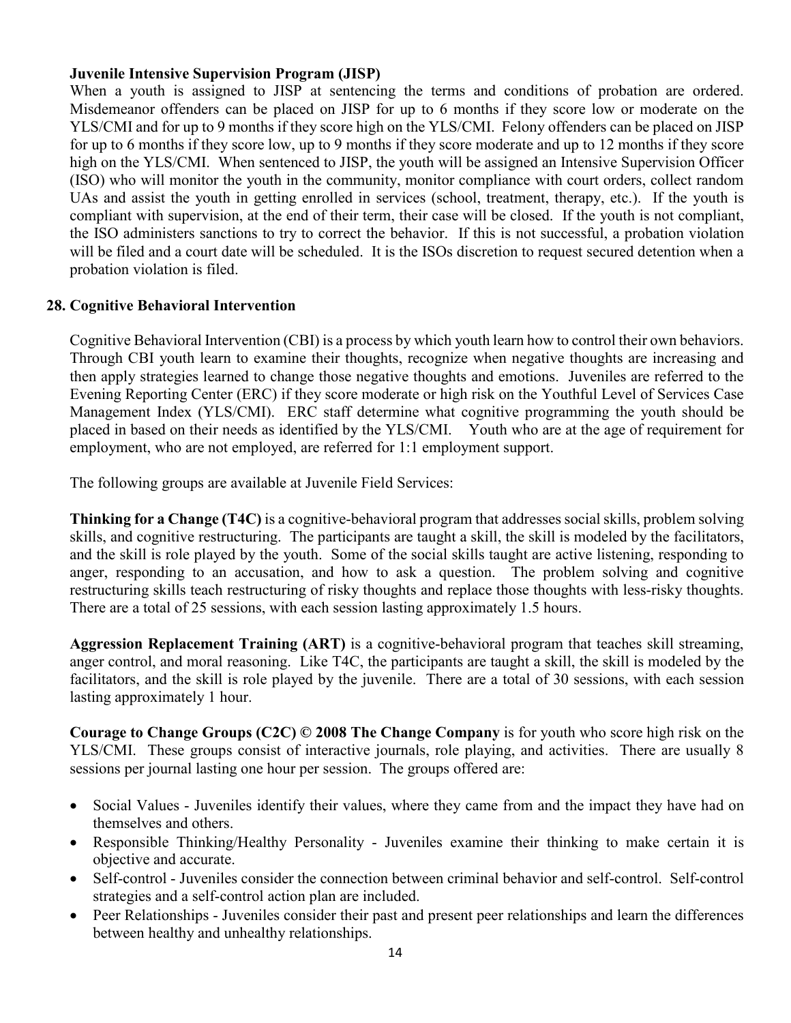## **Juvenile Intensive Supervision Program (JISP)**

When a youth is assigned to JISP at sentencing the terms and conditions of probation are ordered. Misdemeanor offenders can be placed on JISP for up to 6 months if they score low or moderate on the YLS/CMI and for up to 9 months if they score high on the YLS/CMI. Felony offenders can be placed on JISP for up to 6 months if they score low, up to 9 months if they score moderate and up to 12 months if they score high on the YLS/CMI. When sentenced to JISP, the youth will be assigned an Intensive Supervision Officer (ISO) who will monitor the youth in the community, monitor compliance with court orders, collect random UAs and assist the youth in getting enrolled in services (school, treatment, therapy, etc.). If the youth is compliant with supervision, at the end of their term, their case will be closed. If the youth is not compliant, the ISO administers sanctions to try to correct the behavior. If this is not successful, a probation violation will be filed and a court date will be scheduled. It is the ISOs discretion to request secured detention when a probation violation is filed.

## <span id="page-13-0"></span>**28. Cognitive Behavioral Intervention**

Cognitive Behavioral Intervention (CBI) is a process by which youth learn how to control their own behaviors. Through CBI youth learn to examine their thoughts, recognize when negative thoughts are increasing and then apply strategies learned to change those negative thoughts and emotions. Juveniles are referred to the Evening Reporting Center (ERC) if they score moderate or high risk on the Youthful Level of Services Case Management Index (YLS/CMI). ERC staff determine what cognitive programming the youth should be placed in based on their needs as identified by the YLS/CMI. Youth who are at the age of requirement for employment, who are not employed, are referred for 1:1 employment support.

The following groups are available at Juvenile Field Services:

**Thinking for a Change (T4C)** is a cognitive-behavioral program that addresses social skills, problem solving skills, and cognitive restructuring. The participants are taught a skill, the skill is modeled by the facilitators, and the skill is role played by the youth. Some of the social skills taught are active listening, responding to anger, responding to an accusation, and how to ask a question. The problem solving and cognitive restructuring skills teach restructuring of risky thoughts and replace those thoughts with less-risky thoughts. There are a total of 25 sessions, with each session lasting approximately 1.5 hours.

**Aggression Replacement Training (ART)** is a cognitive-behavioral program that teaches skill streaming, anger control, and moral reasoning. Like T4C, the participants are taught a skill, the skill is modeled by the facilitators, and the skill is role played by the juvenile. There are a total of 30 sessions, with each session lasting approximately 1 hour.

**Courage to Change Groups (C2C) © 2008 The Change Company** is for youth who score high risk on the YLS/CMI. These groups consist of interactive journals, role playing, and activities. There are usually 8 sessions per journal lasting one hour per session. The groups offered are:

- Social Values Juveniles identify their values, where they came from and the impact they have had on themselves and others.
- Responsible Thinking/Healthy Personality Juveniles examine their thinking to make certain it is objective and accurate.
- Self-control Juveniles consider the connection between criminal behavior and self-control. Self-control strategies and a self-control action plan are included.
- Peer Relationships Juveniles consider their past and present peer relationships and learn the differences between healthy and unhealthy relationships.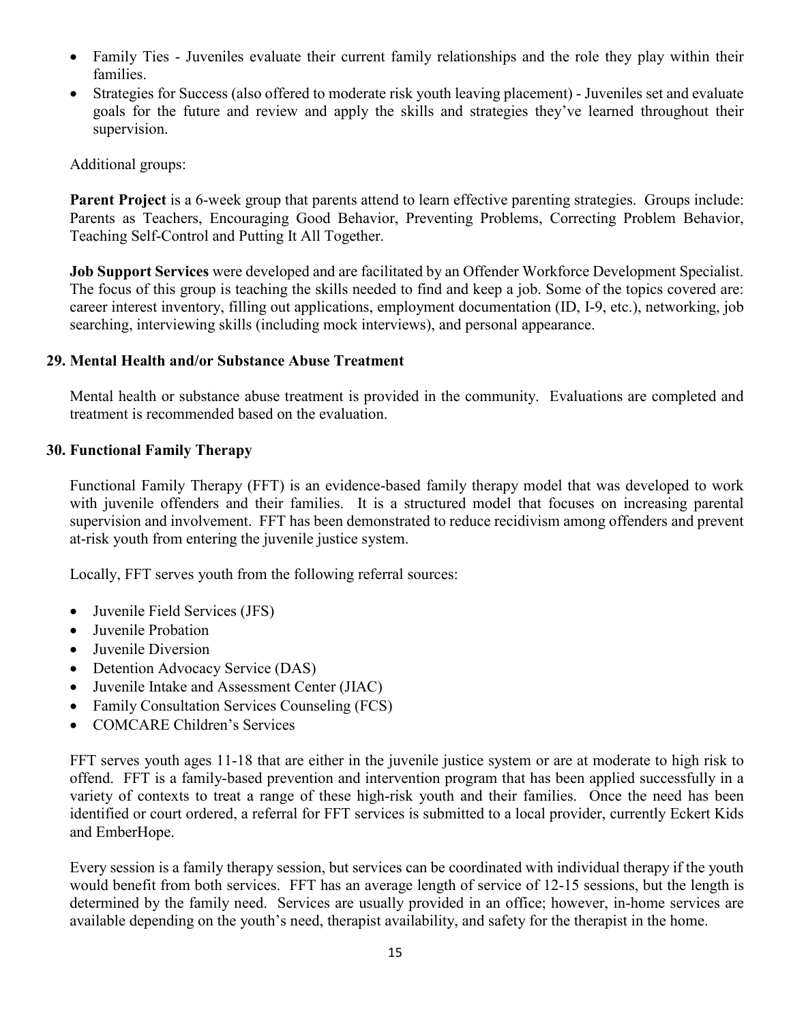- Family Ties Juveniles evaluate their current family relationships and the role they play within their families.
- Strategies for Success (also offered to moderate risk youth leaving placement) Juveniles set and evaluate goals for the future and review and apply the skills and strategies they've learned throughout their supervision.

Additional groups:

**Parent Project** is a 6-week group that parents attend to learn effective parenting strategies. Groups include: Parents as Teachers, Encouraging Good Behavior, Preventing Problems, Correcting Problem Behavior, Teaching Self-Control and Putting It All Together.

**Job Support Services** were developed and are facilitated by an Offender Workforce Development Specialist. The focus of this group is teaching the skills needed to find and keep a job. Some of the topics covered are: career interest inventory, filling out applications, employment documentation (ID, I-9, etc.), networking, job searching, interviewing skills (including mock interviews), and personal appearance.

## <span id="page-14-0"></span>**29. Mental Health and/or Substance Abuse Treatment**

Mental health or substance abuse treatment is provided in the community. Evaluations are completed and treatment is recommended based on the evaluation.

## <span id="page-14-1"></span>**30. Functional Family Therapy**

Functional Family Therapy (FFT) is an evidence-based family therapy model that was developed to work with juvenile offenders and their families. It is a structured model that focuses on increasing parental supervision and involvement. FFT has been demonstrated to reduce recidivism among offenders and prevent at-risk youth from entering the juvenile justice system.

Locally, FFT serves youth from the following referral sources:

- Juvenile Field Services (JFS)
- Juvenile Probation
- Juvenile Diversion
- Detention Advocacy Service (DAS)
- Juvenile Intake and Assessment Center (JIAC)
- Family Consultation Services Counseling (FCS)
- COMCARE Children's Services

FFT serves youth ages 11-18 that are either in the juvenile justice system or are at moderate to high risk to offend. FFT is a family-based prevention and intervention program that has been applied successfully in a variety of contexts to treat a range of these high-risk youth and their families. Once the need has been identified or court ordered, a referral for FFT services is submitted to a local provider, currently Eckert Kids and EmberHope.

Every session is a family therapy session, but services can be coordinated with individual therapy if the youth would benefit from both services. FFT has an average length of service of 12-15 sessions, but the length is determined by the family need. Services are usually provided in an office; however, in-home services are available depending on the youth's need, therapist availability, and safety for the therapist in the home.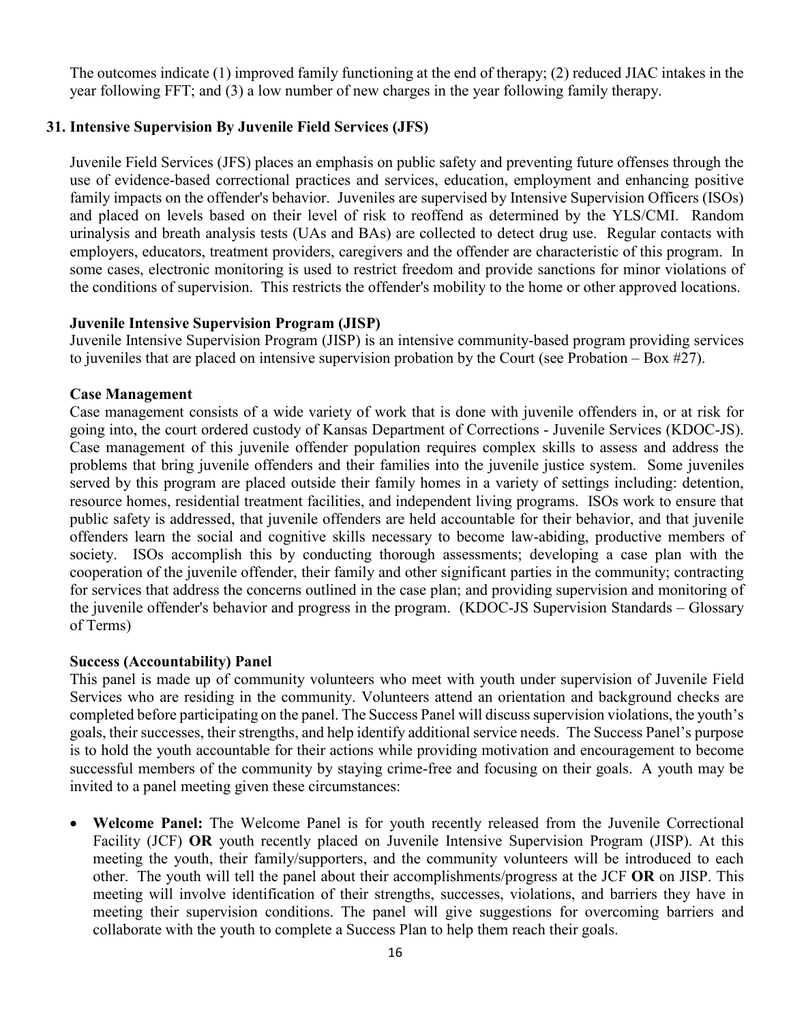The outcomes indicate (1) improved family functioning at the end of therapy; (2) reduced JIAC intakes in the year following FFT; and (3) a low number of new charges in the year following family therapy.

## <span id="page-15-0"></span>**31. Intensive Supervision By Juvenile Field Services (JFS)**

Juvenile Field Services (JFS) places an emphasis on public safety and preventing future offenses through the use of evidence-based correctional practices and services, education, employment and enhancing positive family impacts on the offender's behavior. Juveniles are supervised by Intensive Supervision Officers (ISOs) and placed on levels based on their level of risk to reoffend as determined by the YLS/CMI. Random urinalysis and breath analysis tests (UAs and BAs) are collected to detect drug use. Regular contacts with employers, educators, treatment providers, caregivers and the offender are characteristic of this program. In some cases, electronic monitoring is used to restrict freedom and provide sanctions for minor violations of the conditions of supervision. This restricts the offender's mobility to the home or other approved locations.

### **Juvenile Intensive Supervision Program (JISP)**

Juvenile Intensive Supervision Program (JISP) is an intensive community-based program providing services to juveniles that are placed on intensive supervision probation by the Court (see Probation – Box #27).

#### **Case Management**

Case management consists of a wide variety of work that is done with juvenile offenders in, or at risk for going into, the court ordered custody of Kansas Department of Corrections - Juvenile Services (KDOC-JS). Case management of this juvenile offender population requires complex skills to assess and address the problems that bring juvenile offenders and their families into the juvenile justice system. Some juveniles served by this program are placed outside their family homes in a variety of settings including: detention, resource homes, residential treatment facilities, and independent living programs. ISOs work to ensure that public safety is addressed, that juvenile offenders are held accountable for their behavior, and that juvenile offenders learn the social and cognitive skills necessary to become law-abiding, productive members of society. ISOs accomplish this by conducting thorough assessments; developing a case plan with the cooperation of the juvenile offender, their family and other significant parties in the community; contracting for services that address the concerns outlined in the case plan; and providing supervision and monitoring of the juvenile offender's behavior and progress in the program. (KDOC-JS Supervision Standards – Glossary of Terms)

### **Success (Accountability) Panel**

This panel is made up of community volunteers who meet with youth under supervision of Juvenile Field Services who are residing in the community. Volunteers attend an orientation and background checks are completed before participating on the panel. The Success Panel will discuss supervision violations, the youth's goals, their successes, their strengths, and help identify additional service needs. The Success Panel's purpose is to hold the youth accountable for their actions while providing motivation and encouragement to become successful members of the community by staying crime-free and focusing on their goals. A youth may be invited to a panel meeting given these circumstances:

• **Welcome Panel:** The Welcome Panel is for youth recently released from the Juvenile Correctional Facility (JCF) **OR** youth recently placed on Juvenile Intensive Supervision Program (JISP). At this meeting the youth, their family/supporters, and the community volunteers will be introduced to each other. The youth will tell the panel about their accomplishments/progress at the JCF **OR** on JISP. This meeting will involve identification of their strengths, successes, violations, and barriers they have in meeting their supervision conditions. The panel will give suggestions for overcoming barriers and collaborate with the youth to complete a Success Plan to help them reach their goals.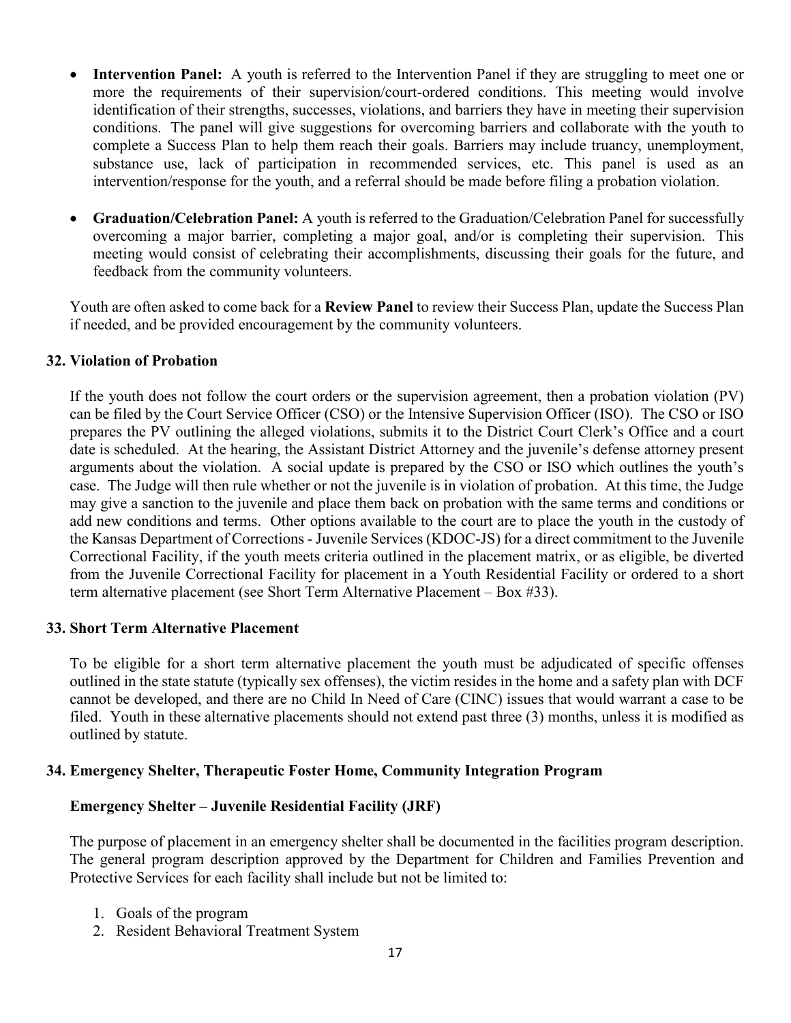- **Intervention Panel:** A youth is referred to the Intervention Panel if they are struggling to meet one or more the requirements of their supervision/court-ordered conditions. This meeting would involve identification of their strengths, successes, violations, and barriers they have in meeting their supervision conditions. The panel will give suggestions for overcoming barriers and collaborate with the youth to complete a Success Plan to help them reach their goals. Barriers may include truancy, unemployment, substance use, lack of participation in recommended services, etc. This panel is used as an intervention/response for the youth, and a referral should be made before filing a probation violation.
- **Graduation/Celebration Panel:** A youth is referred to the Graduation/Celebration Panel for successfully overcoming a major barrier, completing a major goal, and/or is completing their supervision. This meeting would consist of celebrating their accomplishments, discussing their goals for the future, and feedback from the community volunteers.

Youth are often asked to come back for a **Review Panel** to review their Success Plan, update the Success Plan if needed, and be provided encouragement by the community volunteers.

## <span id="page-16-0"></span>**32. Violation of Probation**

If the youth does not follow the court orders or the supervision agreement, then a probation violation (PV) can be filed by the Court Service Officer (CSO) or the Intensive Supervision Officer (ISO). The CSO or ISO prepares the PV outlining the alleged violations, submits it to the District Court Clerk's Office and a court date is scheduled. At the hearing, the Assistant District Attorney and the juvenile's defense attorney present arguments about the violation. A social update is prepared by the CSO or ISO which outlines the youth's case. The Judge will then rule whether or not the juvenile is in violation of probation. At this time, the Judge may give a sanction to the juvenile and place them back on probation with the same terms and conditions or add new conditions and terms. Other options available to the court are to place the youth in the custody of the Kansas Department of Corrections - Juvenile Services (KDOC-JS) for a direct commitment to the Juvenile Correctional Facility, if the youth meets criteria outlined in the placement matrix, or as eligible, be diverted from the Juvenile Correctional Facility for placement in a Youth Residential Facility or ordered to a short term alternative placement (see Short Term Alternative Placement – Box #33).

### <span id="page-16-1"></span>**33. Short Term Alternative Placement**

To be eligible for a short term alternative placement the youth must be adjudicated of specific offenses outlined in the state statute (typically sex offenses), the victim resides in the home and a safety plan with DCF cannot be developed, and there are no Child In Need of Care (CINC) issues that would warrant a case to be filed. Youth in these alternative placements should not extend past three (3) months, unless it is modified as outlined by statute.

### <span id="page-16-2"></span>**34. Emergency Shelter, Therapeutic Foster Home, Community Integration Program**

# **Emergency Shelter – Juvenile Residential Facility (JRF)**

The purpose of placement in an emergency shelter shall be documented in the facilities program description. The general program description approved by the Department for Children and Families Prevention and Protective Services for each facility shall include but not be limited to:

- 1. Goals of the program
- 2. Resident Behavioral Treatment System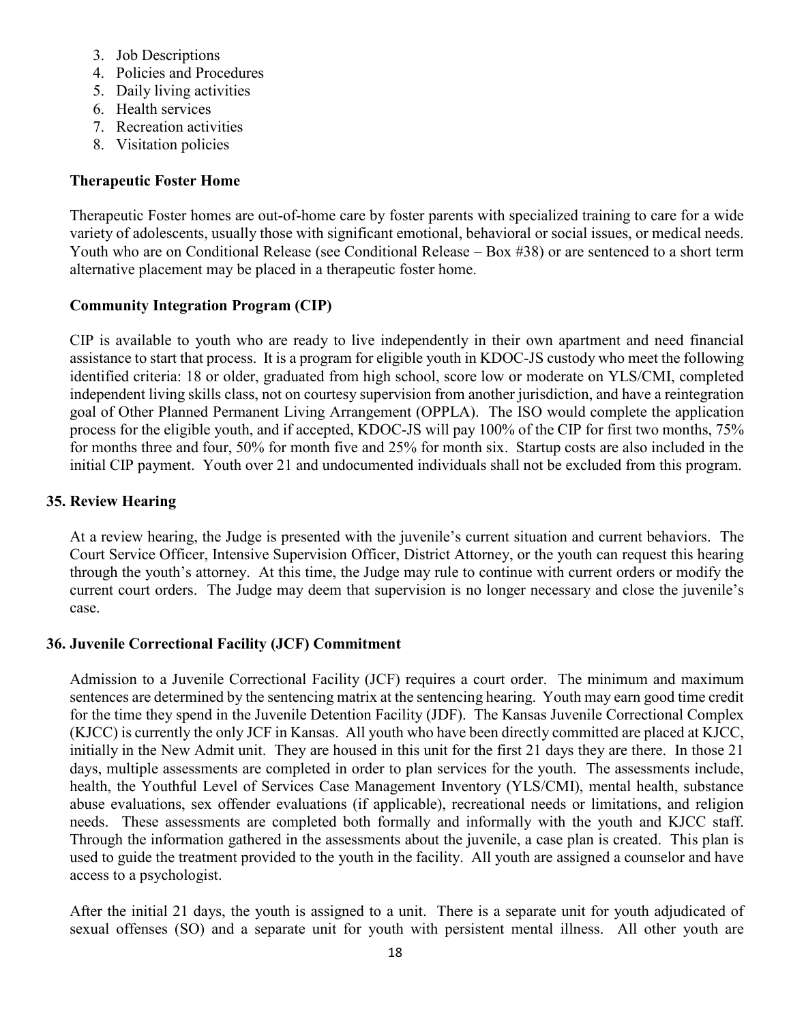- 3. Job Descriptions
- 4. Policies and Procedures
- 5. Daily living activities
- 6. Health services
- 7. Recreation activities
- 8. Visitation policies

## **Therapeutic Foster Home**

Therapeutic Foster homes are out-of-home care by foster parents with specialized training to care for a wide variety of adolescents, usually those with significant emotional, behavioral or social issues, or medical needs. Youth who are on Conditional Release (see Conditional Release – Box #38) or are sentenced to a short term alternative placement may be placed in a therapeutic foster home.

## **Community Integration Program (CIP)**

CIP is available to youth who are ready to live independently in their own apartment and need financial assistance to start that process. It is a program for eligible youth in KDOC-JS custody who meet the following identified criteria: 18 or older, graduated from high school, score low or moderate on YLS/CMI, completed independent living skills class, not on courtesy supervision from another jurisdiction, and have a reintegration goal of Other Planned Permanent Living Arrangement (OPPLA). The ISO would complete the application process for the eligible youth, and if accepted, KDOC-JS will pay 100% of the CIP for first two months, 75% for months three and four, 50% for month five and 25% for month six. Startup costs are also included in the initial CIP payment. Youth over 21 and undocumented individuals shall not be excluded from this program.

## <span id="page-17-0"></span>**35. Review Hearing**

At a review hearing, the Judge is presented with the juvenile's current situation and current behaviors. The Court Service Officer, Intensive Supervision Officer, District Attorney, or the youth can request this hearing through the youth's attorney. At this time, the Judge may rule to continue with current orders or modify the current court orders. The Judge may deem that supervision is no longer necessary and close the juvenile's case.

### <span id="page-17-1"></span>**36. Juvenile Correctional Facility (JCF) Commitment**

Admission to a Juvenile Correctional Facility (JCF) requires a court order. The minimum and maximum sentences are determined by the sentencing matrix at the sentencing hearing. Youth may earn good time credit for the time they spend in the Juvenile Detention Facility (JDF). The Kansas Juvenile Correctional Complex (KJCC) is currently the only JCF in Kansas. All youth who have been directly committed are placed at KJCC, initially in the New Admit unit. They are housed in this unit for the first 21 days they are there. In those 21 days, multiple assessments are completed in order to plan services for the youth. The assessments include, health, the Youthful Level of Services Case Management Inventory (YLS/CMI), mental health, substance abuse evaluations, sex offender evaluations (if applicable), recreational needs or limitations, and religion needs. These assessments are completed both formally and informally with the youth and KJCC staff. Through the information gathered in the assessments about the juvenile, a case plan is created. This plan is used to guide the treatment provided to the youth in the facility. All youth are assigned a counselor and have access to a psychologist.

After the initial 21 days, the youth is assigned to a unit. There is a separate unit for youth adjudicated of sexual offenses (SO) and a separate unit for youth with persistent mental illness. All other youth are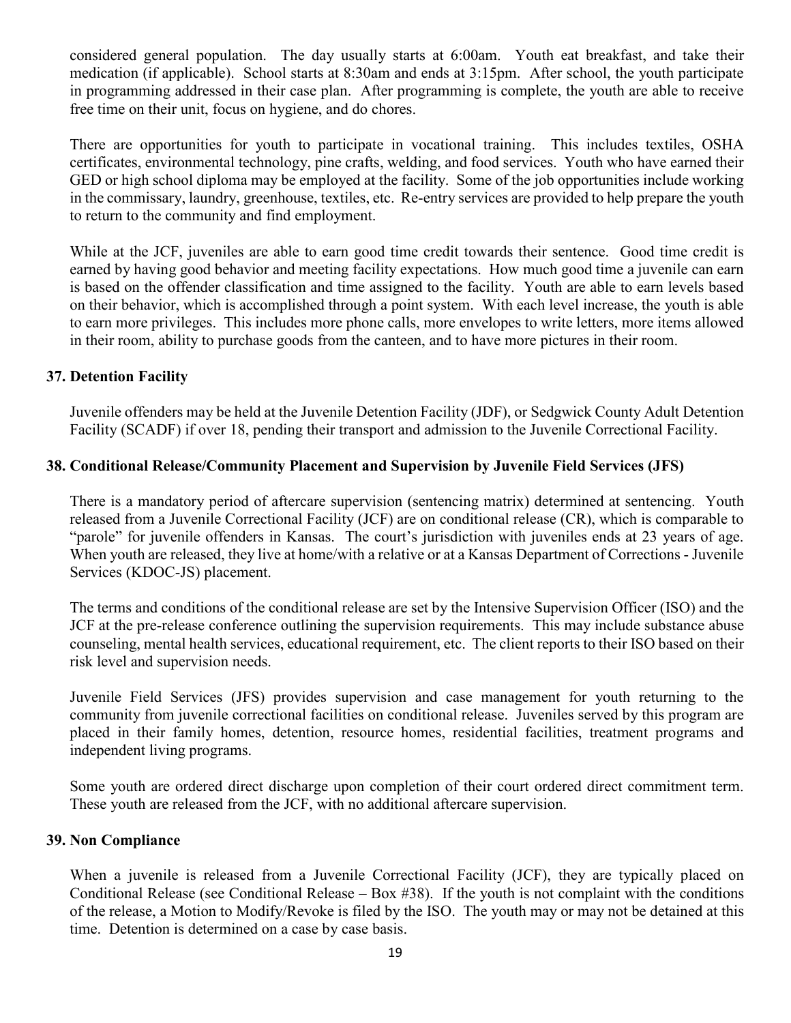considered general population. The day usually starts at 6:00am. Youth eat breakfast, and take their medication (if applicable). School starts at 8:30am and ends at 3:15pm. After school, the youth participate in programming addressed in their case plan. After programming is complete, the youth are able to receive free time on their unit, focus on hygiene, and do chores.

There are opportunities for youth to participate in vocational training. This includes textiles, OSHA certificates, environmental technology, pine crafts, welding, and food services. Youth who have earned their GED or high school diploma may be employed at the facility. Some of the job opportunities include working in the commissary, laundry, greenhouse, textiles, etc. Re-entry services are provided to help prepare the youth to return to the community and find employment.

While at the JCF, juveniles are able to earn good time credit towards their sentence. Good time credit is earned by having good behavior and meeting facility expectations. How much good time a juvenile can earn is based on the offender classification and time assigned to the facility. Youth are able to earn levels based on their behavior, which is accomplished through a point system. With each level increase, the youth is able to earn more privileges. This includes more phone calls, more envelopes to write letters, more items allowed in their room, ability to purchase goods from the canteen, and to have more pictures in their room.

# <span id="page-18-0"></span>**37. Detention Facility**

Juvenile offenders may be held at the Juvenile Detention Facility (JDF), or Sedgwick County Adult Detention Facility (SCADF) if over 18, pending their transport and admission to the Juvenile Correctional Facility.

# <span id="page-18-1"></span>**38. Conditional Release/Community Placement and Supervision by Juvenile Field Services (JFS)**

There is a mandatory period of aftercare supervision (sentencing matrix) determined at sentencing. Youth released from a Juvenile Correctional Facility (JCF) are on conditional release (CR), which is comparable to "parole" for juvenile offenders in Kansas. The court's jurisdiction with juveniles ends at 23 years of age. When youth are released, they live at home/with a relative or at a Kansas Department of Corrections - Juvenile Services (KDOC-JS) placement.

The terms and conditions of the conditional release are set by the Intensive Supervision Officer (ISO) and the JCF at the pre-release conference outlining the supervision requirements. This may include substance abuse counseling, mental health services, educational requirement, etc. The client reports to their ISO based on their risk level and supervision needs.

Juvenile Field Services (JFS) provides supervision and case management for youth returning to the community from juvenile correctional facilities on conditional release. Juveniles served by this program are placed in their family homes, detention, resource homes, residential facilities, treatment programs and independent living programs.

Some youth are ordered direct discharge upon completion of their court ordered direct commitment term. These youth are released from the JCF, with no additional aftercare supervision.

# <span id="page-18-2"></span>**39. Non Compliance**

When a juvenile is released from a Juvenile Correctional Facility (JCF), they are typically placed on Conditional Release (see Conditional Release – Box #38). If the youth is not complaint with the conditions of the release, a Motion to Modify/Revoke is filed by the ISO. The youth may or may not be detained at this time. Detention is determined on a case by case basis.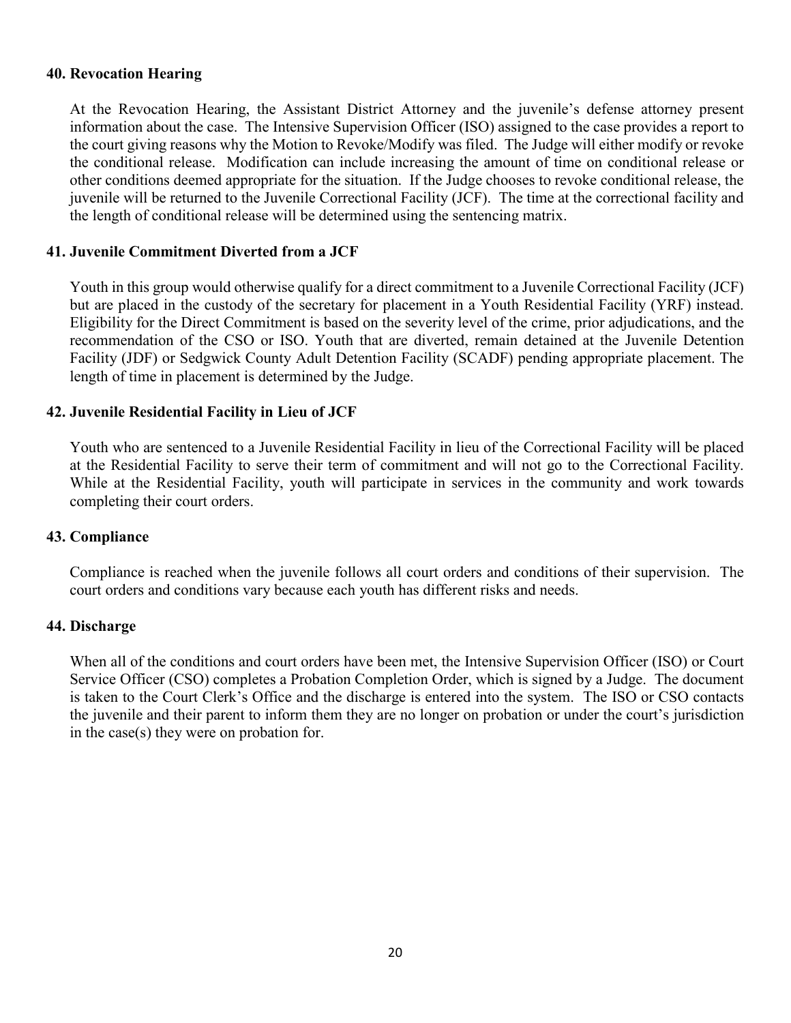#### <span id="page-19-0"></span>**40. Revocation Hearing**

At the Revocation Hearing, the Assistant District Attorney and the juvenile's defense attorney present information about the case. The Intensive Supervision Officer (ISO) assigned to the case provides a report to the court giving reasons why the Motion to Revoke/Modify was filed. The Judge will either modify or revoke the conditional release. Modification can include increasing the amount of time on conditional release or other conditions deemed appropriate for the situation. If the Judge chooses to revoke conditional release, the juvenile will be returned to the Juvenile Correctional Facility (JCF). The time at the correctional facility and the length of conditional release will be determined using the sentencing matrix.

#### <span id="page-19-1"></span>**41. Juvenile Commitment Diverted from a JCF**

Youth in this group would otherwise qualify for a direct commitment to a Juvenile Correctional Facility (JCF) but are placed in the custody of the secretary for placement in a Youth Residential Facility (YRF) instead. Eligibility for the Direct Commitment is based on the severity level of the crime, prior adjudications, and the recommendation of the CSO or ISO. Youth that are diverted, remain detained at the Juvenile Detention Facility (JDF) or Sedgwick County Adult Detention Facility (SCADF) pending appropriate placement. The length of time in placement is determined by the Judge.

#### <span id="page-19-2"></span>**42. Juvenile Residential Facility in Lieu of JCF**

Youth who are sentenced to a Juvenile Residential Facility in lieu of the Correctional Facility will be placed at the Residential Facility to serve their term of commitment and will not go to the Correctional Facility. While at the Residential Facility, youth will participate in services in the community and work towards completing their court orders.

#### <span id="page-19-3"></span>**43. Compliance**

Compliance is reached when the juvenile follows all court orders and conditions of their supervision. The court orders and conditions vary because each youth has different risks and needs.

#### <span id="page-19-4"></span>**44. Discharge**

When all of the conditions and court orders have been met, the Intensive Supervision Officer (ISO) or Court Service Officer (CSO) completes a Probation Completion Order, which is signed by a Judge. The document is taken to the Court Clerk's Office and the discharge is entered into the system. The ISO or CSO contacts the juvenile and their parent to inform them they are no longer on probation or under the court's jurisdiction in the case(s) they were on probation for.